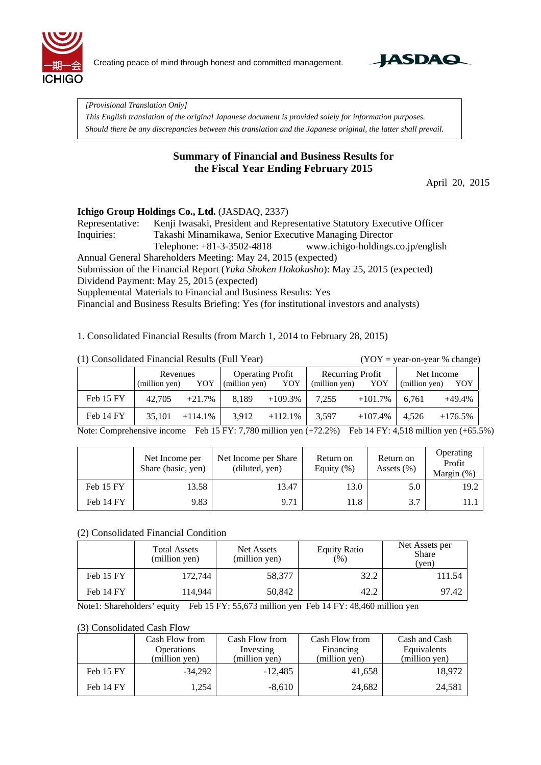

Creating peace of mind through honest and committed management.



*[Provisional Translation Only]* 

*This English translation of the original Japanese document is provided solely for information purposes. Should there be any discrepancies between this translation and the Japanese original, the latter shall prevail.*

## **Summary of Financial and Business Results for the Fiscal Year Ending February 2015**

April 20, 2015

## **Ichigo Group Holdings Co., Ltd.** (JASDAQ, 2337)

Representative: Kenji Iwasaki, President and Representative Statutory Executive Officer Inquiries: Takashi Minamikawa, Senior Executive Managing Director Telephone: +81-3-3502-4818 www.ichigo-holdings.co.jp/english Annual General Shareholders Meeting: May 24, 2015 (expected) Submission of the Financial Report (*Yuka Shoken Hokokusho*): May 25, 2015 (expected) Dividend Payment: May 25, 2015 (expected) Supplemental Materials to Financial and Business Results: Yes

Financial and Business Results Briefing: Yes (for institutional investors and analysts)

1. Consolidated Financial Results (from March 1, 2014 to February 28, 2015)

 $(YOY = year-on-year % change)$ 

|           | Revenues      |            | <b>Operating Profit</b> |            | Recurring Profit |            | Net Income    |            |
|-----------|---------------|------------|-------------------------|------------|------------------|------------|---------------|------------|
|           | (million yen) | YOY        | (million yen)           | YOY        | (million yen)    | YOY        | (million yen) | YOY        |
| Feb 15 FY | 42,705        | $+21.7%$   | 8.189                   | $+109.3\%$ | 7,255            | $+101.7\%$ | 6.761         | $+49.4%$   |
| Feb 14 FY | 35,101        | $+114.1\%$ | 3.912                   | $+112.1\%$ | 3.597            | $+107.4%$  | 4.526         | $+176.5\%$ |

Note: Comprehensive income Feb 15 FY: 7,780 million yen (+72.2%) Feb 14 FY: 4,518 million yen (+65.5%)

|           | Net Income per<br>Share (basic, yen) | Net Income per Share<br>(diluted, yen) | Return on<br>Equity $(\%)$ | Return on<br>Assets $(\% )$ | Operating<br>Profit<br>Margin (%) |
|-----------|--------------------------------------|----------------------------------------|----------------------------|-----------------------------|-----------------------------------|
| Feb 15 FY | 13.58                                | 13.47                                  | 13.0                       | 5.0                         | 19.2                              |
| Feb 14 FY | 9.83                                 | 9.71                                   | 11.8                       | 3.7                         | 11. .                             |

### (2) Consolidated Financial Condition

|           | <b>Total Assets</b><br>(million yen) | Net Assets<br>(million yen) | <b>Equity Ratio</b><br>$( \% )$ | Net Assets per<br><b>Share</b><br>(ven) |
|-----------|--------------------------------------|-----------------------------|---------------------------------|-----------------------------------------|
| Feb 15 FY | 172,744                              | 58,377                      | 32.2                            | 111.54                                  |
| Feb 14 FY | 114,944                              | 50,842                      | 42.2                            | 97.42                                   |

Note1: Shareholders' equity Feb 15 FY: 55,673 million yen Feb 14 FY: 48,460 million yen

#### (3) Consolidated Cash Flow

|           | Cash Flow from    | Cash Flow from | Cash Flow from | Cash and Cash |
|-----------|-------------------|----------------|----------------|---------------|
|           | <b>Operations</b> | Investing      | Financing      | Equivalents   |
|           | (million yen)     | (million yen)  | (million yen)  | (million yen) |
| Feb 15 FY | $-34,292$         | $-12,485$      | 41,658         | 18.972        |
| Feb 14 FY | 1,254             | $-8,610$       | 24,682         | 24,581        |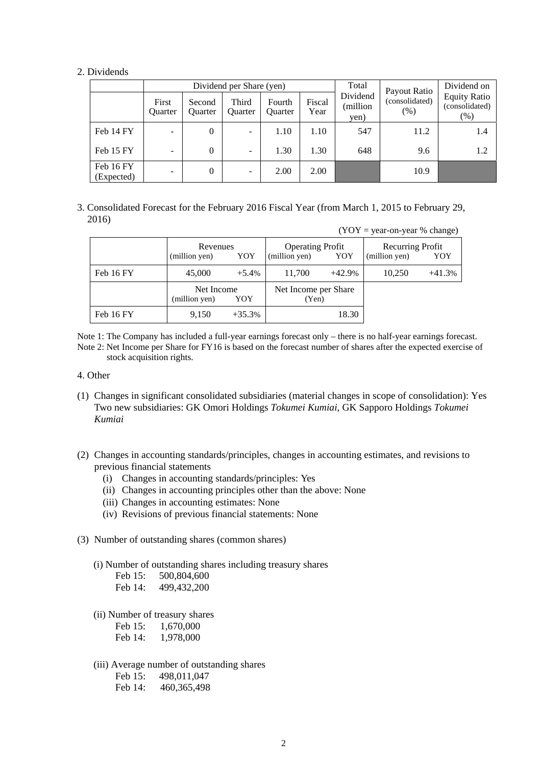#### 2. Dividends

|                         | Dividend per Share (yen) |                   |                         |                          |                | Total                        | Payout Ratio           | Dividend on                                     |
|-------------------------|--------------------------|-------------------|-------------------------|--------------------------|----------------|------------------------------|------------------------|-------------------------------------------------|
|                         | First<br><b>Ouarter</b>  | Second<br>Ouarter | Third<br><b>Ouarter</b> | Fourth<br><b>Ouarter</b> | Fiscal<br>Year | Dividend<br>(million<br>yen) | (consolidated)<br>(% ) | <b>Equity Ratio</b><br>(consolidated)<br>$(\%)$ |
| Feb 14 FY               | $\overline{\phantom{0}}$ | $\theta$          | ۰                       | 1.10                     | 1.10           | 547                          | 11.2                   | 1.4                                             |
| Feb 15 FY               |                          | $\theta$          | ۰                       | 1.30                     | 1.30           | 648                          | 9.6                    | 1.2                                             |
| Feb 16 FY<br>(Expected) | $\overline{\phantom{0}}$ | $\theta$          | -                       | 2.00                     | 2.00           |                              | 10.9                   |                                                 |

### 3. Consolidated Forecast for the February 2016 Fiscal Year (from March 1, 2015 to February 29, 2016)

|           |                                  |          |                                                 |          | $(YOY = year-on-year % change)$   |          |
|-----------|----------------------------------|----------|-------------------------------------------------|----------|-----------------------------------|----------|
|           | Revenues<br>(million yen)<br>YOY |          | <b>Operating Profit</b><br>(million yen)<br>YOY |          | Recurring Profit<br>(million yen) | YOY      |
| Feb 16 FY | 45,000                           | $+5.4%$  | 11,700                                          | $+42.9%$ | 10,250                            | $+41.3%$ |
|           | Net Income<br>(million yen)      | YOY      | Net Income per Share<br>(Yen)                   |          |                                   |          |
| Feb 16 FY | 9,150                            | $+35.3%$ |                                                 | 18.30    |                                   |          |

Note 1: The Company has included a full-year earnings forecast only – there is no half-year earnings forecast. Note 2: Net Income per Share for FY16 is based on the forecast number of shares after the expected exercise of stock acquisition rights.

#### 4. Other

- (1) Changes in significant consolidated subsidiaries (material changes in scope of consolidation): Yes Two new subsidiaries: GK Omori Holdings *Tokumei Kumiai,* GK Sapporo Holdings *Tokumei Kumiai*
- (2) Changes in accounting standards/principles, changes in accounting estimates, and revisions to previous financial statements
	- (i) Changes in accounting standards/principles: Yes
	- (ii) Changes in accounting principles other than the above: None
	- (iii) Changes in accounting estimates: None
	- (iv) Revisions of previous financial statements: None
- (3) Number of outstanding shares (common shares)
	- (i) Number of outstanding shares including treasury shares

| Feb 15: | 500,804,600   |
|---------|---------------|
| Feb 14: | 499, 432, 200 |

(ii) Number of treasury shares

| Feb 15: | 1,670,000 |
|---------|-----------|
| Feb 14: | 1,978,000 |

(iii) Average number of outstanding shares

Feb 15: 498,011,047 Feb 14: 460,365,498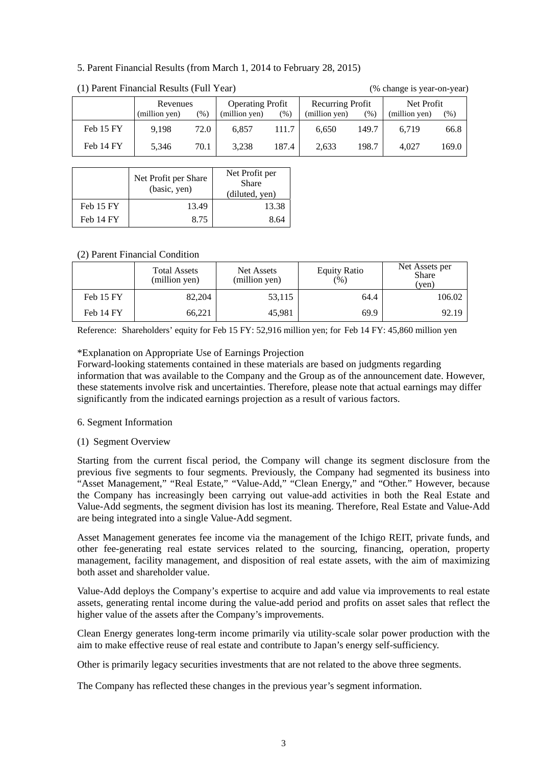## 5. Parent Financial Results (from March 1, 2014 to February 28, 2015)

| $(1)$ ratent radiitial results (rail real) |               |        |                         |        |                  |         | $\sqrt{2}$ change is year on year. |        |
|--------------------------------------------|---------------|--------|-------------------------|--------|------------------|---------|------------------------------------|--------|
|                                            | Revenues      |        | <b>Operating Profit</b> |        | Recurring Profit |         | Net Profit                         |        |
|                                            | (million yen) | $(\%)$ | (million yen)           | $(\%)$ | (million yen)    | $(\% )$ | (million yen)                      | $(\%)$ |
| Feb 15 FY                                  | 9.198         | 72.0   | 6.857                   | 111.7  | 6.650            | 149.7   | 6.719                              | 66.8   |
| Feb 14 FY                                  | 5.346         | 70.1   | 3.238                   | 187.4  | 2.633            | 198.7   | 4.027                              | 169.0  |

### (1) Parent Financial Results (Full Year) (% change is year-on-year)

|           | Net Profit per Share<br>(basic, yen) | Net Profit per<br><b>Share</b><br>(diluted, yen) |
|-----------|--------------------------------------|--------------------------------------------------|
| Feb 15 FY | 13.49                                | 13.38                                            |
| Feb 14 FY | 8.75                                 | 8 64                                             |

## (2) Parent Financial Condition

|           | <b>Total Assets</b><br>(million yen) | Net Assets<br>(million yen) | <b>Equity Ratio</b><br>(%) | Net Assets per<br><b>Share</b><br>(ven) |
|-----------|--------------------------------------|-----------------------------|----------------------------|-----------------------------------------|
| Feb 15 FY | 82,204                               | 53,115                      | 64.4                       | 106.02                                  |
| Feb 14 FY | 66,221                               | 45.981                      | 69.9                       | 92.19                                   |

Reference: Shareholders' equity for Feb 15 FY: 52,916 million yen; for Feb 14 FY: 45,860 million yen

## \*Explanation on Appropriate Use of Earnings Projection

Forward-looking statements contained in these materials are based on judgments regarding information that was available to the Company and the Group as of the announcement date. However, these statements involve risk and uncertainties. Therefore, please note that actual earnings may differ significantly from the indicated earnings projection as a result of various factors.

### 6. Segment Information

## (1) Segment Overview

Starting from the current fiscal period, the Company will change its segment disclosure from the previous five segments to four segments. Previously, the Company had segmented its business into "Asset Management," "Real Estate," "Value-Add," "Clean Energy," and "Other." However, because the Company has increasingly been carrying out value-add activities in both the Real Estate and Value-Add segments, the segment division has lost its meaning. Therefore, Real Estate and Value-Add are being integrated into a single Value-Add segment.

Asset Management generates fee income via the management of the Ichigo REIT, private funds, and other fee-generating real estate services related to the sourcing, financing, operation, property management, facility management, and disposition of real estate assets, with the aim of maximizing both asset and shareholder value.

Value-Add deploys the Company's expertise to acquire and add value via improvements to real estate assets, generating rental income during the value-add period and profits on asset sales that reflect the higher value of the assets after the Company's improvements.

Clean Energy generates long-term income primarily via utility-scale solar power production with the aim to make effective reuse of real estate and contribute to Japan's energy self-sufficiency.

Other is primarily legacy securities investments that are not related to the above three segments.

The Company has reflected these changes in the previous year's segment information.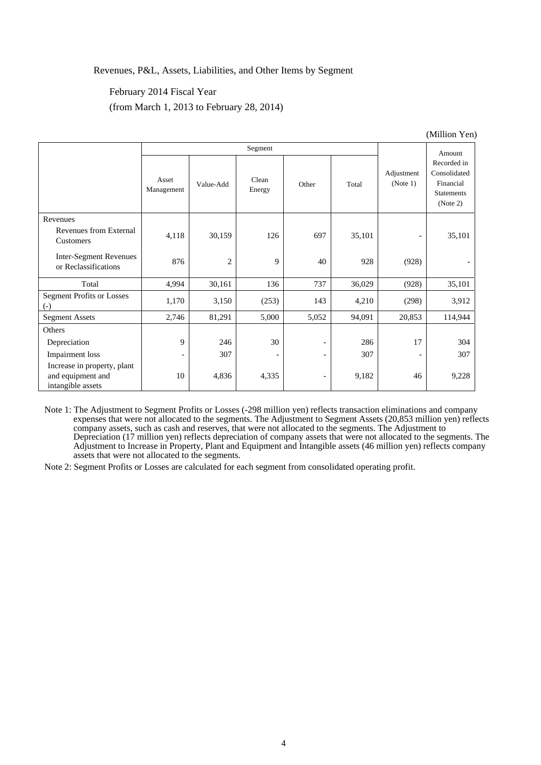### Revenues, P&L, Assets, Liabilities, and Other Items by Segment

## February 2014 Fiscal Year (from March 1, 2013 to February 28, 2014)

|                                                                       |                     |           |                 |                              |        | $($ IVIIIIIIOII I CII    |                                                                           |
|-----------------------------------------------------------------------|---------------------|-----------|-----------------|------------------------------|--------|--------------------------|---------------------------------------------------------------------------|
|                                                                       | Segment             |           |                 |                              |        |                          | Amount                                                                    |
|                                                                       | Asset<br>Management | Value-Add | Clean<br>Energy | Other                        | Total  | Adjustment<br>(Note 1)   | Recorded in<br>Consolidated<br>Financial<br><b>Statements</b><br>(Note 2) |
| Revenues                                                              |                     |           |                 |                              |        |                          |                                                                           |
| Revenues from External<br>Customers                                   | 4,118               | 30,159    | 126             | 697                          | 35,101 | $\overline{\phantom{a}}$ | 35,101                                                                    |
| <b>Inter-Segment Revenues</b><br>or Reclassifications                 | 876                 | 2         | 9               | 40                           | 928    | (928)                    |                                                                           |
| Total                                                                 | 4,994               | 30,161    | 136             | 737                          | 36,029 | (928)                    | 35,101                                                                    |
| <b>Segment Profits or Losses</b><br>$\left( -\right)$                 | 1,170               | 3,150     | (253)           | 143                          | 4,210  | (298)                    | 3,912                                                                     |
| <b>Segment Assets</b>                                                 | 2,746               | 81,291    | 5,000           | 5,052                        | 94,091 | 20,853                   | 114,944                                                                   |
| Others                                                                |                     |           |                 |                              |        |                          |                                                                           |
| Depreciation                                                          | 9                   | 246       | 30              | $\qquad \qquad \blacksquare$ | 286    | 17                       | 304                                                                       |
| Impairment loss                                                       | -                   | 307       |                 | $\overline{\phantom{0}}$     | 307    | $\overline{\phantom{a}}$ | 307                                                                       |
| Increase in property, plant<br>and equipment and<br>intangible assets | 10                  | 4,836     | 4,335           | -                            | 9,182  | 46                       | 9,228                                                                     |

(Million Yen)

Note 1: The Adjustment to Segment Profits or Losses (-298 million yen) reflects transaction eliminations and company expenses that were not allocated to the segments. The Adjustment to Segment Assets (20,853 million yen) reflects company assets, such as cash and reserves, that were not allocated to the segments. The Adjustment to Depreciation (17 million yen) reflects depreciation of company assets that were not allocated to the segments. The Adjustment to Increase in Property, Plant and Equipment and Intangible assets (46 million yen) reflects company assets that were not allocated to the segments.

Note 2: Segment Profits or Losses are calculated for each segment from consolidated operating profit.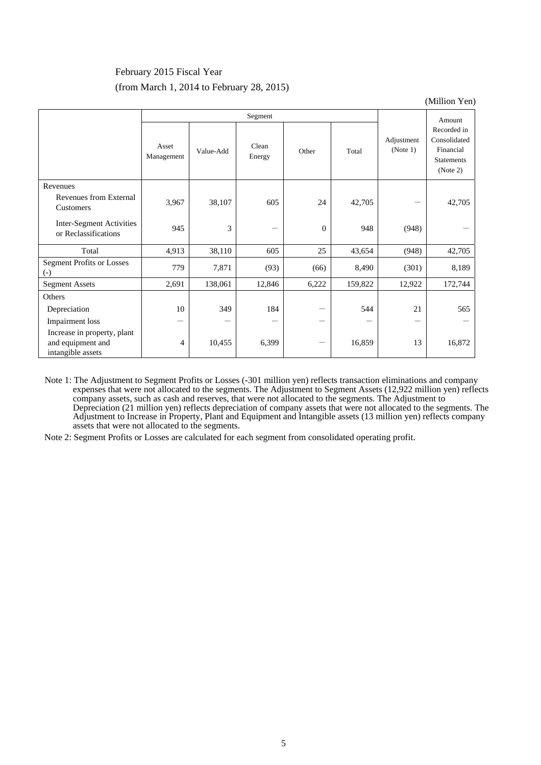## February 2015 Fiscal Year (from March 1, 2014 to February 28, 2015)

(Million Yen)

|                                                                       |                     |           | Segment         |              |         |                        | Amount                                                                    |
|-----------------------------------------------------------------------|---------------------|-----------|-----------------|--------------|---------|------------------------|---------------------------------------------------------------------------|
|                                                                       | Asset<br>Management | Value-Add | Clean<br>Energy | Other        | Total   | Adjustment<br>(Note 1) | Recorded in<br>Consolidated<br>Financial<br><b>Statements</b><br>(Note 2) |
| Revenues                                                              |                     |           |                 |              |         |                        |                                                                           |
| Revenues from External<br>Customers                                   | 3,967               | 38,107    | 605             | 24           | 42,705  |                        | 42,705                                                                    |
| Inter-Segment Activities<br>or Reclassifications                      | 945                 | 3         |                 | $\mathbf{0}$ | 948     | (948)                  |                                                                           |
| Total                                                                 | 4,913               | 38,110    | 605             | 25           | 43,654  | (948)                  | 42,705                                                                    |
| <b>Segment Profits or Losses</b><br>$\left( -\right)$                 | 779                 | 7,871     | (93)            | (66)         | 8,490   | (301)                  | 8,189                                                                     |
| <b>Segment Assets</b>                                                 | 2,691               | 138,061   | 12,846          | 6,222        | 159,822 | 12,922                 | 172,744                                                                   |
| Others                                                                |                     |           |                 |              |         |                        |                                                                           |
| Depreciation                                                          | 10                  | 349       | 184             |              | 544     | 21                     | 565                                                                       |
| <b>Impairment</b> loss                                                | —                   |           |                 | —            |         |                        |                                                                           |
| Increase in property, plant<br>and equipment and<br>intangible assets | 4                   | 10,455    | 6,399           | —            | 16,859  | 13                     | 16,872                                                                    |

Note 1: The Adjustment to Segment Profits or Losses (-301 million yen) reflects transaction eliminations and company expenses that were not allocated to the segments. The Adjustment to Segment Assets (12,922 million yen) reflects company assets, such as cash and reserves, that were not allocated to the segments. The Adjustment to Depreciation (21 million yen) reflects depreciation of company assets that were not allocated to the segments. The Adjustment to Increase in Property, Plant and Equipment and Intangible assets (13 million yen) reflects company assets that were not allocated to the segments.

Note 2: Segment Profits or Losses are calculated for each segment from consolidated operating profit.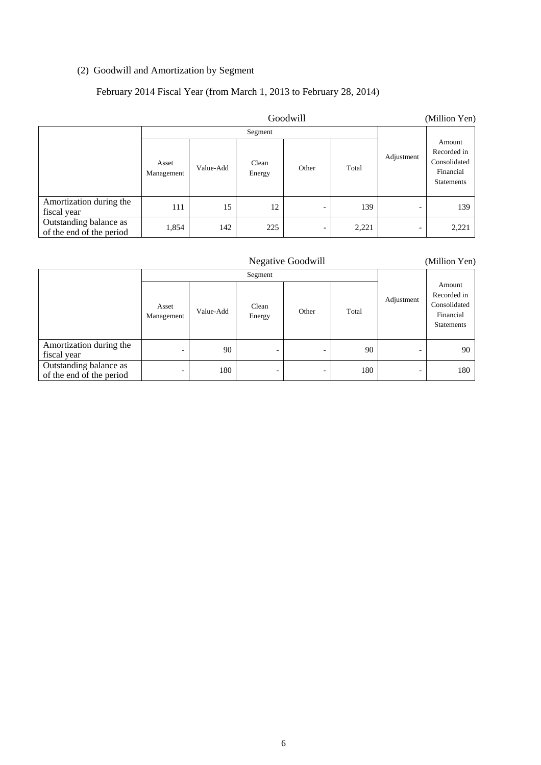## (2) Goodwill and Amortization by Segment

## February 2014 Fiscal Year (from March 1, 2013 to February 28, 2014)

|                                                    | Goodwill            |           |                 |       |       |            | (Million Yen)                                                           |
|----------------------------------------------------|---------------------|-----------|-----------------|-------|-------|------------|-------------------------------------------------------------------------|
|                                                    |                     |           | Segment         |       |       |            |                                                                         |
|                                                    | Asset<br>Management | Value-Add | Clean<br>Energy | Other | Total | Adjustment | Amount<br>Recorded in<br>Consolidated<br>Financial<br><b>Statements</b> |
| Amortization during the<br>fiscal year             | 111                 | 15        | 12              |       | 139   | -          | 139                                                                     |
| Outstanding balance as<br>of the end of the period | 1,854               | 142       | 225             |       | 2,221 |            | 2,221                                                                   |

| <b>Negative Goodwill</b>                           |                          |           |                          |                          |       | (Million Yen) |                                                                         |
|----------------------------------------------------|--------------------------|-----------|--------------------------|--------------------------|-------|---------------|-------------------------------------------------------------------------|
|                                                    |                          | Segment   |                          |                          |       |               |                                                                         |
|                                                    | Asset<br>Management      | Value-Add | Clean<br>Energy          | Other                    | Total | Adjustment    | Amount<br>Recorded in<br>Consolidated<br>Financial<br><b>Statements</b> |
| Amortization during the<br>fiscal year             | $\overline{\phantom{0}}$ | 90        | $\overline{\phantom{a}}$ |                          | 90    |               | 90                                                                      |
| Outstanding balance as<br>of the end of the period | $\overline{\phantom{a}}$ | 180       | $\overline{\phantom{a}}$ | $\overline{\phantom{0}}$ | 180   |               | 180                                                                     |

6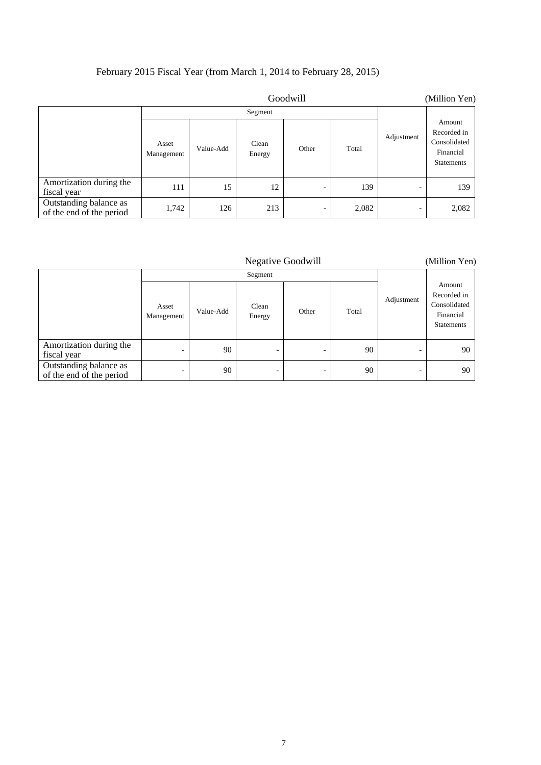# February 2015 Fiscal Year (from March 1, 2014 to February 28, 2015)

|                                                    | Goodwill            |           |                 |                          |       |            | (Million Yen)                                                           |
|----------------------------------------------------|---------------------|-----------|-----------------|--------------------------|-------|------------|-------------------------------------------------------------------------|
|                                                    |                     |           | Segment         |                          |       |            |                                                                         |
|                                                    | Asset<br>Management | Value-Add | Clean<br>Energy | Other                    | Total | Adjustment | Amount<br>Recorded in<br>Consolidated<br>Financial<br><b>Statements</b> |
| Amortization during the<br>fiscal year             | 111                 | 15        | 12              | $\overline{\phantom{0}}$ | 139   | -          | 139                                                                     |
| Outstanding balance as<br>of the end of the period | 1,742               | 126       | 213             | -                        | 2,082 | -          | 2,082                                                                   |

| <b>Negative Goodwill</b>                           |                          |           |                          |                          |       |            | (Million Yen)                                                           |
|----------------------------------------------------|--------------------------|-----------|--------------------------|--------------------------|-------|------------|-------------------------------------------------------------------------|
|                                                    | Segment                  |           |                          |                          |       |            |                                                                         |
|                                                    | Asset<br>Management      | Value-Add | Clean<br>Energy          | Other                    | Total | Adjustment | Amount<br>Recorded in<br>Consolidated<br>Financial<br><b>Statements</b> |
| Amortization during the<br>fiscal year             |                          | 90        | -                        |                          | 90    |            | 90                                                                      |
| Outstanding balance as<br>of the end of the period | $\overline{\phantom{0}}$ | 90        | $\overline{\phantom{a}}$ | $\overline{\phantom{0}}$ | 90    | -          | 90                                                                      |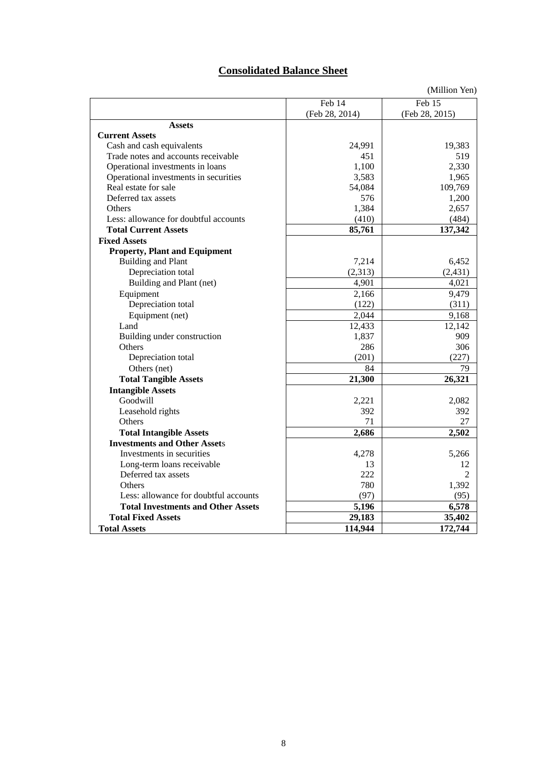# **Consolidated Balance Sheet**

|                                           |                | (Million Yen)  |
|-------------------------------------------|----------------|----------------|
|                                           | Feb 14         | Feb 15         |
|                                           | (Feb 28, 2014) | (Feb 28, 2015) |
| <b>Assets</b>                             |                |                |
| <b>Current Assets</b>                     |                |                |
| Cash and cash equivalents                 | 24,991         | 19,383         |
| Trade notes and accounts receivable       | 451            | 519            |
| Operational investments in loans          | 1,100          | 2,330          |
| Operational investments in securities     | 3,583          | 1,965          |
| Real estate for sale                      | 54,084         | 109,769        |
| Deferred tax assets                       | 576            | 1,200          |
| Others                                    | 1,384          | 2,657          |
| Less: allowance for doubtful accounts     | (410)          | (484)          |
| <b>Total Current Assets</b>               | 85,761         | 137,342        |
| <b>Fixed Assets</b>                       |                |                |
| <b>Property, Plant and Equipment</b>      |                |                |
| <b>Building and Plant</b>                 | 7,214          | 6,452          |
| Depreciation total                        | (2,313)        | (2, 431)       |
| Building and Plant (net)                  | 4,901          | 4,021          |
| Equipment                                 | 2,166          | 9,479          |
| Depreciation total                        | (122)          | (311)          |
| Equipment (net)                           | 2,044          | 9,168          |
| Land                                      | 12,433         | 12,142         |
| Building under construction               | 1,837          | 909            |
| Others                                    | 286            | 306            |
| Depreciation total                        | (201)          | (227)          |
| Others (net)                              | 84             | 79             |
| <b>Total Tangible Assets</b>              | 21,300         | 26,321         |
| <b>Intangible Assets</b>                  |                |                |
| Goodwill                                  | 2,221          | 2,082          |
| Leasehold rights                          | 392            | 392            |
| Others                                    | 71             | 27             |
| <b>Total Intangible Assets</b>            | 2,686          | 2,502          |
| <b>Investments and Other Assets</b>       |                |                |
| Investments in securities                 | 4,278          | 5,266          |
| Long-term loans receivable                | 13             | 12             |
| Deferred tax assets                       | 222            | $\overline{2}$ |
| Others                                    | 780            | 1,392          |
| Less: allowance for doubtful accounts     | (97)           | (95)           |
| <b>Total Investments and Other Assets</b> | 5,196          | 6,578          |
| <b>Total Fixed Assets</b>                 | 29,183         | 35,402         |
| <b>Total Assets</b>                       | 114,944        | 172,744        |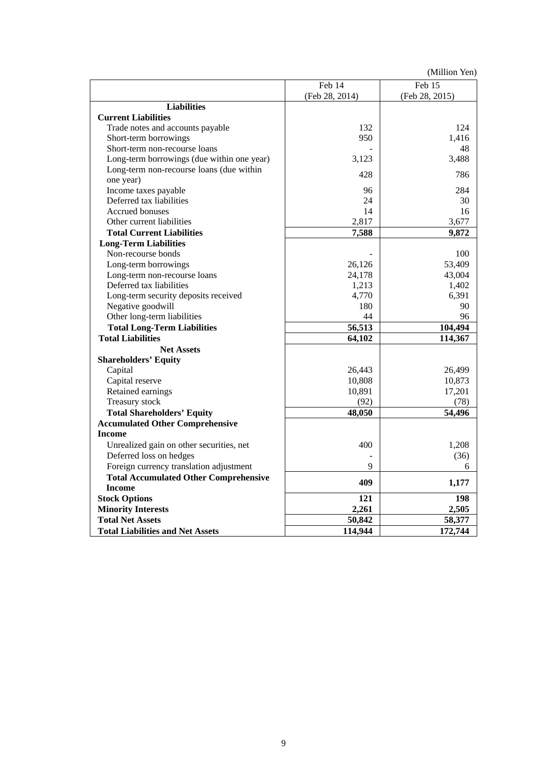(Million Yen)

|                                              | Feb 14         | Feb 15         |
|----------------------------------------------|----------------|----------------|
|                                              | (Feb 28, 2014) | (Feb 28, 2015) |
| <b>Liabilities</b>                           |                |                |
| <b>Current Liabilities</b>                   |                |                |
| Trade notes and accounts payable             | 132            | 124            |
| Short-term borrowings                        | 950            | 1,416          |
| Short-term non-recourse loans                |                | 48             |
| Long-term borrowings (due within one year)   | 3,123          | 3,488          |
| Long-term non-recourse loans (due within     |                |                |
| one year)                                    | 428            | 786            |
| Income taxes payable                         | 96             | 284            |
| Deferred tax liabilities                     | 24             | 30             |
| Accrued bonuses                              | 14             | 16             |
| Other current liabilities                    | 2,817          | 3,677          |
| <b>Total Current Liabilities</b>             | 7,588          | 9,872          |
| <b>Long-Term Liabilities</b>                 |                |                |
| Non-recourse bonds                           |                | 100            |
| Long-term borrowings                         | 26,126         | 53,409         |
| Long-term non-recourse loans                 | 24,178         | 43,004         |
| Deferred tax liabilities                     | 1,213          | 1,402          |
| Long-term security deposits received         | 4,770          | 6,391          |
| Negative goodwill                            | 180            | 90             |
| Other long-term liabilities                  | 44             | 96             |
| <b>Total Long-Term Liabilities</b>           | 56,513         | 104,494        |
| <b>Total Liabilities</b>                     | 64,102         | 114,367        |
| <b>Net Assets</b>                            |                |                |
| <b>Shareholders' Equity</b>                  |                |                |
| Capital                                      | 26,443         | 26,499         |
| Capital reserve                              | 10,808         | 10,873         |
| Retained earnings                            | 10,891         | 17,201         |
| Treasury stock                               | (92)           | (78)           |
| <b>Total Shareholders' Equity</b>            | 48,050         | 54,496         |
| <b>Accumulated Other Comprehensive</b>       |                |                |
| <b>Income</b>                                |                |                |
| Unrealized gain on other securities, net     | 400            | 1,208          |
| Deferred loss on hedges                      |                | (36)           |
| Foreign currency translation adjustment      | 9              | 6              |
| <b>Total Accumulated Other Comprehensive</b> |                |                |
| <b>Income</b>                                | 409            | 1,177          |
| <b>Stock Options</b>                         | 121            | 198            |
| <b>Minority Interests</b>                    | 2,261          | 2,505          |
| <b>Total Net Assets</b>                      | 50,842         | 58,377         |
| <b>Total Liabilities and Net Assets</b>      | 114,944        | 172,744        |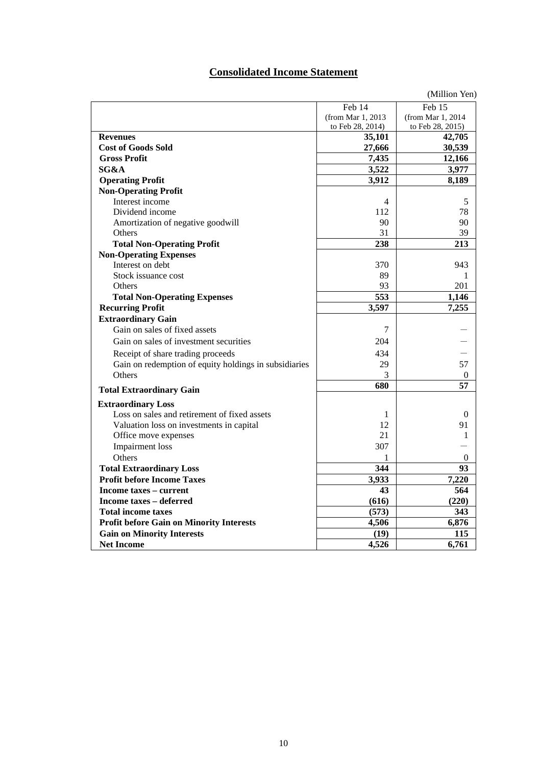## **Consolidated Income Statement**

|                                                       |                   | (Million Yen)     |
|-------------------------------------------------------|-------------------|-------------------|
|                                                       | Feb 14            | Feb 15            |
|                                                       | (from Mar 1, 2013 | (from Mar 1, 2014 |
|                                                       | to Feb 28, 2014)  | to Feb 28, 2015)  |
| <b>Revenues</b>                                       | 35,101            | 42,705            |
| <b>Cost of Goods Sold</b>                             | 27,666            | 30,539            |
| <b>Gross Profit</b>                                   | 7,435             | 12,166            |
| SG&A                                                  | 3,522             | 3,977             |
| <b>Operating Profit</b>                               | 3,912             | 8,189             |
| <b>Non-Operating Profit</b>                           |                   |                   |
| Interest income                                       | 4                 | 5                 |
| Dividend income                                       | 112               | 78                |
| Amortization of negative goodwill                     | 90                | 90                |
| Others                                                | 31                | 39                |
| <b>Total Non-Operating Profit</b>                     | 238               | 213               |
| <b>Non-Operating Expenses</b>                         |                   |                   |
| Interest on debt                                      | 370               | 943               |
| Stock issuance cost                                   | 89                | 1                 |
| Others                                                | 93                | 201               |
| <b>Total Non-Operating Expenses</b>                   | 553               | 1,146             |
| <b>Recurring Profit</b>                               | 3,597             | 7,255             |
| <b>Extraordinary Gain</b>                             |                   |                   |
| Gain on sales of fixed assets                         | 7                 |                   |
| Gain on sales of investment securities                | 204               |                   |
| Receipt of share trading proceeds                     | 434               |                   |
| Gain on redemption of equity holdings in subsidiaries | 29                | 57                |
| Others                                                | 3                 | $\theta$          |
| <b>Total Extraordinary Gain</b>                       | 680               | 57                |
| <b>Extraordinary Loss</b>                             |                   |                   |
| Loss on sales and retirement of fixed assets          | 1                 | $\mathbf{0}$      |
| Valuation loss on investments in capital              | 12                | 91                |
| Office move expenses                                  | 21                | 1                 |
| <b>Impairment</b> loss                                | 307               |                   |
| Others                                                | 1                 | $\theta$          |
| <b>Total Extraordinary Loss</b>                       | 344               | 93                |
| <b>Profit before Income Taxes</b>                     | 3,933             | 7,220             |
| Income taxes – current                                | 43                | 564               |
| Income taxes – deferred                               | (616)             | (220)             |
| <b>Total income taxes</b>                             | (573)             | 343               |
| <b>Profit before Gain on Minority Interests</b>       | 4,506             | 6,876             |
| <b>Gain on Minority Interests</b>                     | (19)              | 115               |
| <b>Net Income</b>                                     | 4,526             | 6,761             |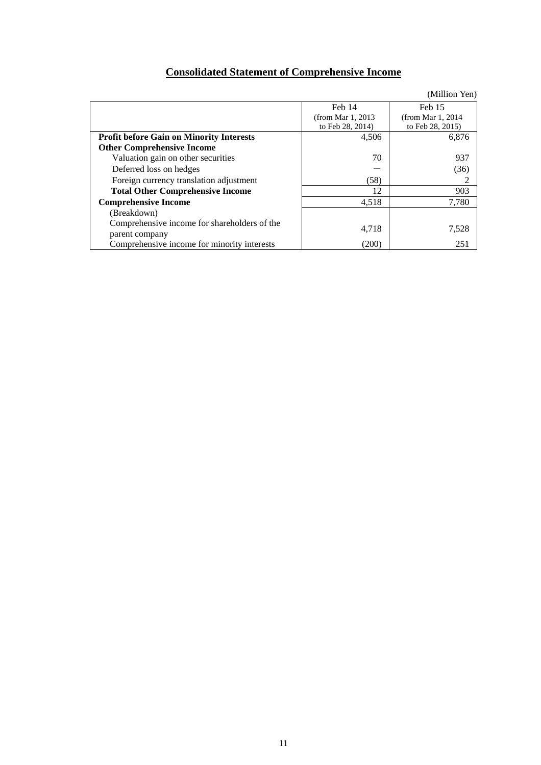## **Consolidated Statement of Comprehensive Income**

|                                                               |                       | (Million Yen)         |
|---------------------------------------------------------------|-----------------------|-----------------------|
|                                                               | Feb 14                | Feb 15                |
|                                                               | (from Mar $1, 2013$ ) | (from Mar $1, 2014$ ) |
|                                                               | to Feb 28, 2014)      | to Feb 28, 2015)      |
| <b>Profit before Gain on Minority Interests</b>               | 4,506                 | 6,876                 |
| <b>Other Comprehensive Income</b>                             |                       |                       |
| Valuation gain on other securities                            | 70                    | 937                   |
| Deferred loss on hedges                                       |                       | (36)                  |
| Foreign currency translation adjustment                       | (58)                  | 2                     |
| <b>Total Other Comprehensive Income</b>                       | 12                    | 903                   |
| <b>Comprehensive Income</b>                                   | 4,518                 | 7,780                 |
| (Breakdown)                                                   |                       |                       |
| Comprehensive income for shareholders of the                  | 4,718                 | 7,528                 |
| parent company<br>Comprehensive income for minority interests | (200)                 | 251                   |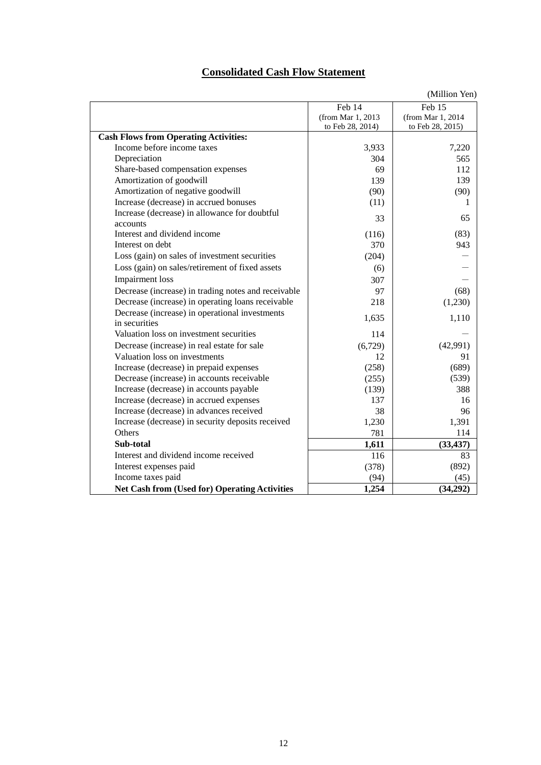## **Consolidated Cash Flow Statement**

(Million Yen)

|                                                      |                   | $\text{U}$ (Trillion Tell) |
|------------------------------------------------------|-------------------|----------------------------|
|                                                      | Feb 14            | Feb 15                     |
|                                                      | (from Mar 1, 2013 | (from Mar 1, 2014          |
|                                                      | to Feb 28, 2014)  | to Feb 28, 2015)           |
| <b>Cash Flows from Operating Activities:</b>         |                   |                            |
| Income before income taxes                           | 3,933             | 7,220                      |
| Depreciation                                         | 304               | 565                        |
| Share-based compensation expenses                    | 69                | 112                        |
| Amortization of goodwill                             | 139               | 139                        |
| Amortization of negative goodwill                    | (90)              | (90)                       |
| Increase (decrease) in accrued bonuses               | (11)              | 1                          |
| Increase (decrease) in allowance for doubtful        | 33                | 65                         |
| accounts                                             |                   |                            |
| Interest and dividend income                         | (116)             | (83)                       |
| Interest on debt                                     | 370               | 943                        |
| Loss (gain) on sales of investment securities        | (204)             |                            |
| Loss (gain) on sales/retirement of fixed assets      | (6)               |                            |
| <b>Impairment</b> loss                               | 307               |                            |
| Decrease (increase) in trading notes and receivable  | 97                | (68)                       |
| Decrease (increase) in operating loans receivable    | 218               | (1,230)                    |
| Decrease (increase) in operational investments       | 1,635             | 1,110                      |
| in securities                                        |                   |                            |
| Valuation loss on investment securities              | 114               |                            |
| Decrease (increase) in real estate for sale          | (6,729)           | (42,991)                   |
| Valuation loss on investments                        | 12                | 91                         |
| Increase (decrease) in prepaid expenses              | (258)             | (689)                      |
| Decrease (increase) in accounts receivable           | (255)             | (539)                      |
| Increase (decrease) in accounts payable              | (139)             | 388                        |
| Increase (decrease) in accrued expenses              | 137               | 16                         |
| Increase (decrease) in advances received             | 38                | 96                         |
| Increase (decrease) in security deposits received    | 1,230             | 1,391                      |
| Others                                               | 781               | 114                        |
| Sub-total                                            | 1,611             | (33, 437)                  |
| Interest and dividend income received                | 116               | 83                         |
| Interest expenses paid                               | (378)             | (892)                      |
| Income taxes paid                                    | (94)              | (45)                       |
| <b>Net Cash from (Used for) Operating Activities</b> | 1,254             | (34,292)                   |